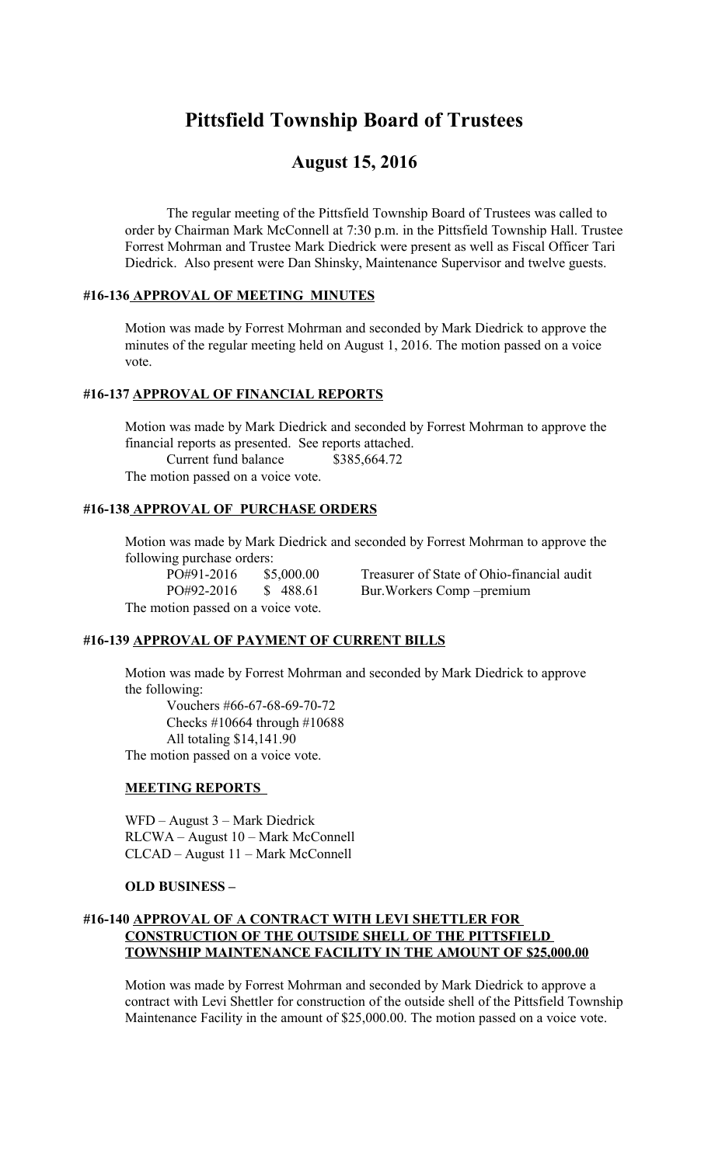# **Pittsfield Township Board of Trustees**

## **August 15, 2016**

The regular meeting of the Pittsfield Township Board of Trustees was called to order by Chairman Mark McConnell at 7:30 p.m. in the Pittsfield Township Hall. Trustee Forrest Mohrman and Trustee Mark Diedrick were present as well as Fiscal Officer Tari Diedrick. Also present were Dan Shinsky, Maintenance Supervisor and twelve guests.

## **#16-136 APPROVAL OF MEETING MINUTES**

Motion was made by Forrest Mohrman and seconded by Mark Diedrick to approve the minutes of the regular meeting held on August 1, 2016. The motion passed on a voice vote.

## **#16-137 APPROVAL OF FINANCIAL REPORTS**

Motion was made by Mark Diedrick and seconded by Forrest Mohrman to approve the financial reports as presented. See reports attached. Current fund balance \$385,664.72 The motion passed on a voice vote.

## **#16-138 APPROVAL OF PURCHASE ORDERS**

Motion was made by Mark Diedrick and seconded by Forrest Mohrman to approve the following purchase orders:

PO#91-2016 \$5,000.00 Treasurer of State of Ohio-financial audit PO#92-2016 \$ 488.61 Bur.Workers Comp –premium

The motion passed on a voice vote.

## **#16-139 APPROVAL OF PAYMENT OF CURRENT BILLS**

Motion was made by Forrest Mohrman and seconded by Mark Diedrick to approve the following:

 Vouchers #66-67-68-69-70-72 Checks #10664 through #10688 All totaling \$14,141.90 The motion passed on a voice vote.

#### **MEETING REPORTS**

WFD – August 3 – Mark Diedrick RLCWA – August 10 – Mark McConnell CLCAD – August 11 – Mark McConnell

#### **OLD BUSINESS –**

## **#16-140 APPROVAL OF A CONTRACT WITH LEVI SHETTLER FOR CONSTRUCTION OF THE OUTSIDE SHELL OF THE PITTSFIELD TOWNSHIP MAINTENANCE FACILITY IN THE AMOUNT OF \$25,000.00**

Motion was made by Forrest Mohrman and seconded by Mark Diedrick to approve a contract with Levi Shettler for construction of the outside shell of the Pittsfield Township Maintenance Facility in the amount of \$25,000.00. The motion passed on a voice vote.